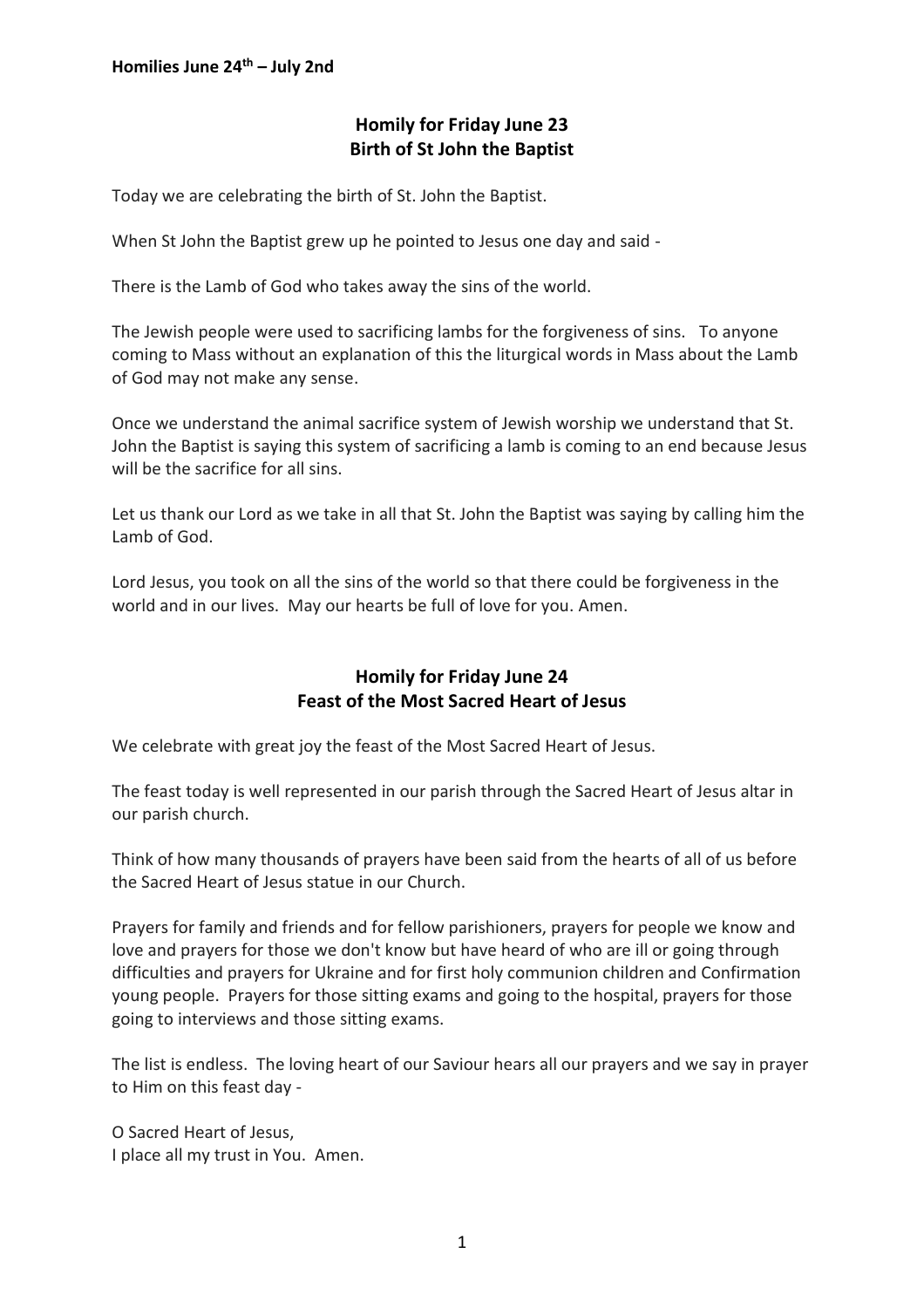# **Homily for Friday June 23 Birth of St John the Baptist**

Today we are celebrating the birth of St. John the Baptist.

When St John the Baptist grew up he pointed to Jesus one day and said -

There is the Lamb of God who takes away the sins of the world.

The Jewish people were used to sacrificing lambs for the forgiveness of sins. To anyone coming to Mass without an explanation of this the liturgical words in Mass about the Lamb of God may not make any sense.

Once we understand the animal sacrifice system of Jewish worship we understand that St. John the Baptist is saying this system of sacrificing a lamb is coming to an end because Jesus will be the sacrifice for all sins.

Let us thank our Lord as we take in all that St. John the Baptist was saying by calling him the Lamb of God.

Lord Jesus, you took on all the sins of the world so that there could be forgiveness in the world and in our lives. May our hearts be full of love for you. Amen.

# **Homily for Friday June 24 Feast of the Most Sacred Heart of Jesus**

We celebrate with great joy the feast of the Most Sacred Heart of Jesus.

The feast today is well represented in our parish through the Sacred Heart of Jesus altar in our parish church.

Think of how many thousands of prayers have been said from the hearts of all of us before the Sacred Heart of Jesus statue in our Church.

Prayers for family and friends and for fellow parishioners, prayers for people we know and love and prayers for those we don't know but have heard of who are ill or going through difficulties and prayers for Ukraine and for first holy communion children and Confirmation young people. Prayers for those sitting exams and going to the hospital, prayers for those going to interviews and those sitting exams.

The list is endless. The loving heart of our Saviour hears all our prayers and we say in prayer to Him on this feast day -

O Sacred Heart of Jesus, I place all my trust in You. Amen.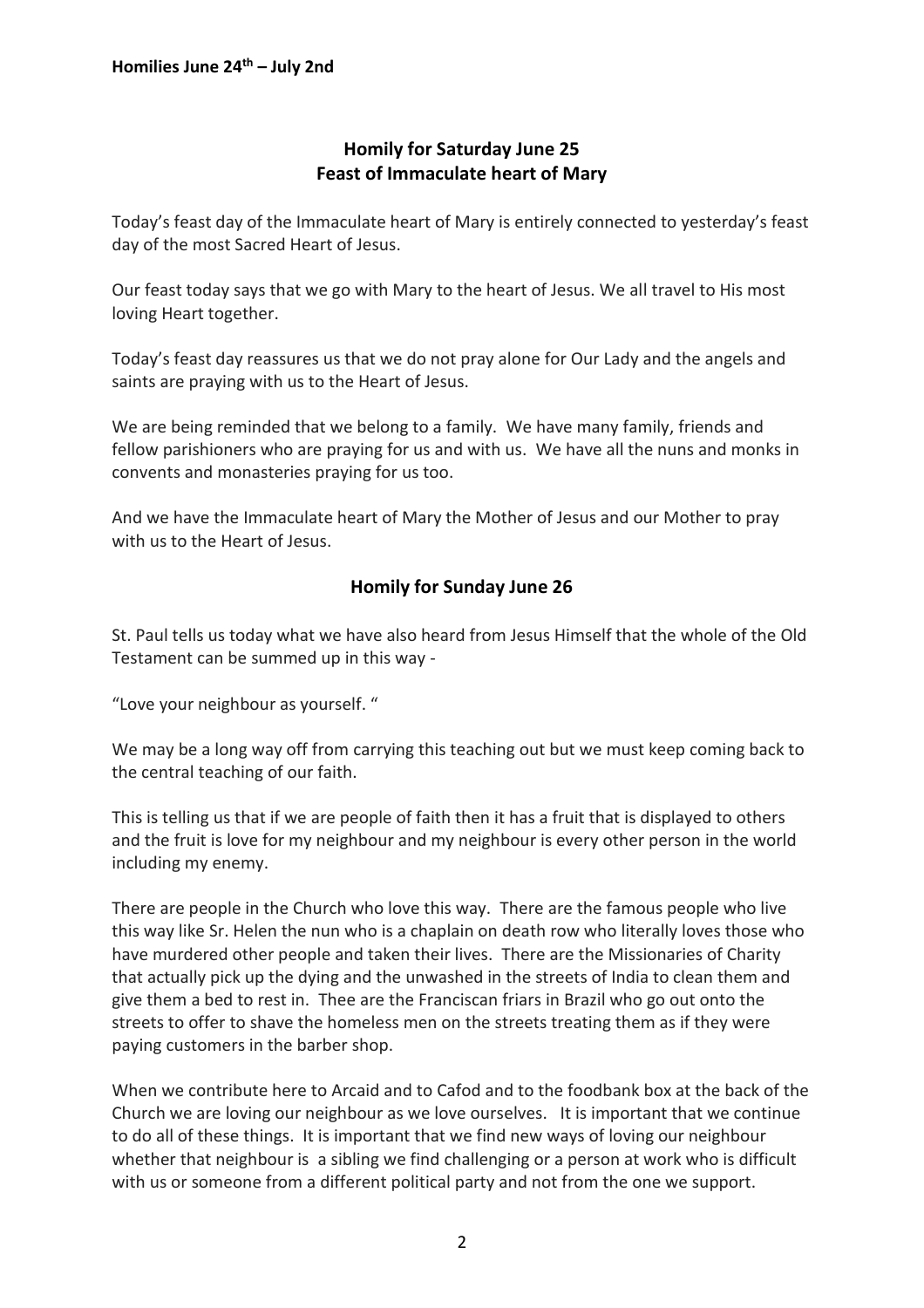### **Homily for Saturday June 25 Feast of Immaculate heart of Mary**

Today's feast day of the Immaculate heart of Mary is entirely connected to yesterday's feast day of the most Sacred Heart of Jesus.

Our feast today says that we go with Mary to the heart of Jesus. We all travel to His most loving Heart together.

Today's feast day reassures us that we do not pray alone for Our Lady and the angels and saints are praying with us to the Heart of Jesus.

We are being reminded that we belong to a family. We have many family, friends and fellow parishioners who are praying for us and with us. We have all the nuns and monks in convents and monasteries praying for us too.

And we have the Immaculate heart of Mary the Mother of Jesus and our Mother to pray with us to the Heart of Jesus.

### **Homily for Sunday June 26**

St. Paul tells us today what we have also heard from Jesus Himself that the whole of the Old Testament can be summed up in this way -

"Love your neighbour as yourself. "

We may be a long way off from carrying this teaching out but we must keep coming back to the central teaching of our faith.

This is telling us that if we are people of faith then it has a fruit that is displayed to others and the fruit is love for my neighbour and my neighbour is every other person in the world including my enemy.

There are people in the Church who love this way. There are the famous people who live this way like Sr. Helen the nun who is a chaplain on death row who literally loves those who have murdered other people and taken their lives. There are the Missionaries of Charity that actually pick up the dying and the unwashed in the streets of India to clean them and give them a bed to rest in. Thee are the Franciscan friars in Brazil who go out onto the streets to offer to shave the homeless men on the streets treating them as if they were paying customers in the barber shop.

When we contribute here to Arcaid and to Cafod and to the foodbank box at the back of the Church we are loving our neighbour as we love ourselves. It is important that we continue to do all of these things. It is important that we find new ways of loving our neighbour whether that neighbour is a sibling we find challenging or a person at work who is difficult with us or someone from a different political party and not from the one we support.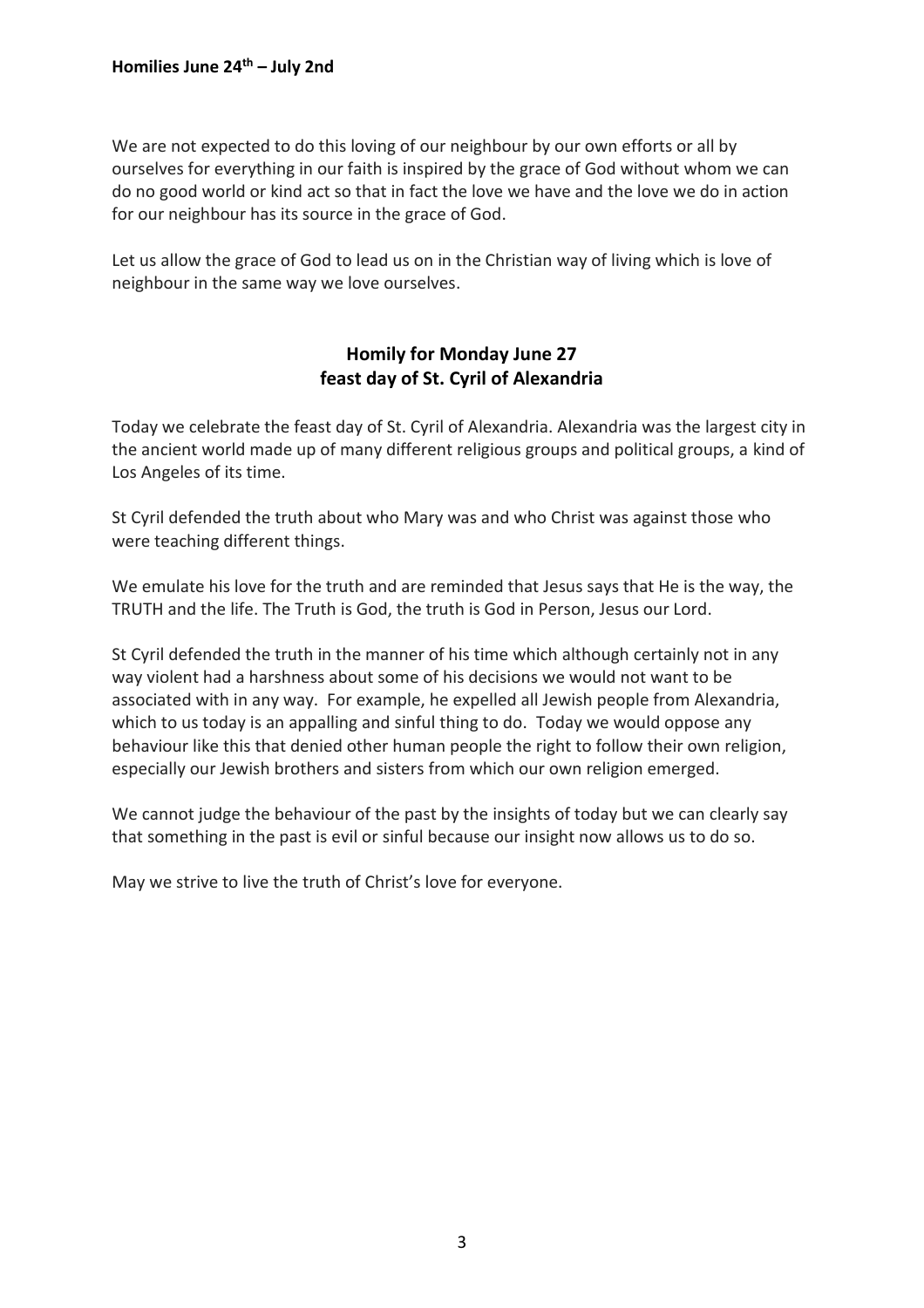We are not expected to do this loving of our neighbour by our own efforts or all by ourselves for everything in our faith is inspired by the grace of God without whom we can do no good world or kind act so that in fact the love we have and the love we do in action for our neighbour has its source in the grace of God.

Let us allow the grace of God to lead us on in the Christian way of living which is love of neighbour in the same way we love ourselves.

## **Homily for Monday June 27 feast day of St. Cyril of Alexandria**

Today we celebrate the feast day of St. Cyril of Alexandria. Alexandria was the largest city in the ancient world made up of many different religious groups and political groups, a kind of Los Angeles of its time.

St Cyril defended the truth about who Mary was and who Christ was against those who were teaching different things.

We emulate his love for the truth and are reminded that Jesus says that He is the way, the TRUTH and the life. The Truth is God, the truth is God in Person, Jesus our Lord.

St Cyril defended the truth in the manner of his time which although certainly not in any way violent had a harshness about some of his decisions we would not want to be associated with in any way. For example, he expelled all Jewish people from Alexandria, which to us today is an appalling and sinful thing to do. Today we would oppose any behaviour like this that denied other human people the right to follow their own religion, especially our Jewish brothers and sisters from which our own religion emerged.

We cannot judge the behaviour of the past by the insights of today but we can clearly say that something in the past is evil or sinful because our insight now allows us to do so.

May we strive to live the truth of Christ's love for everyone.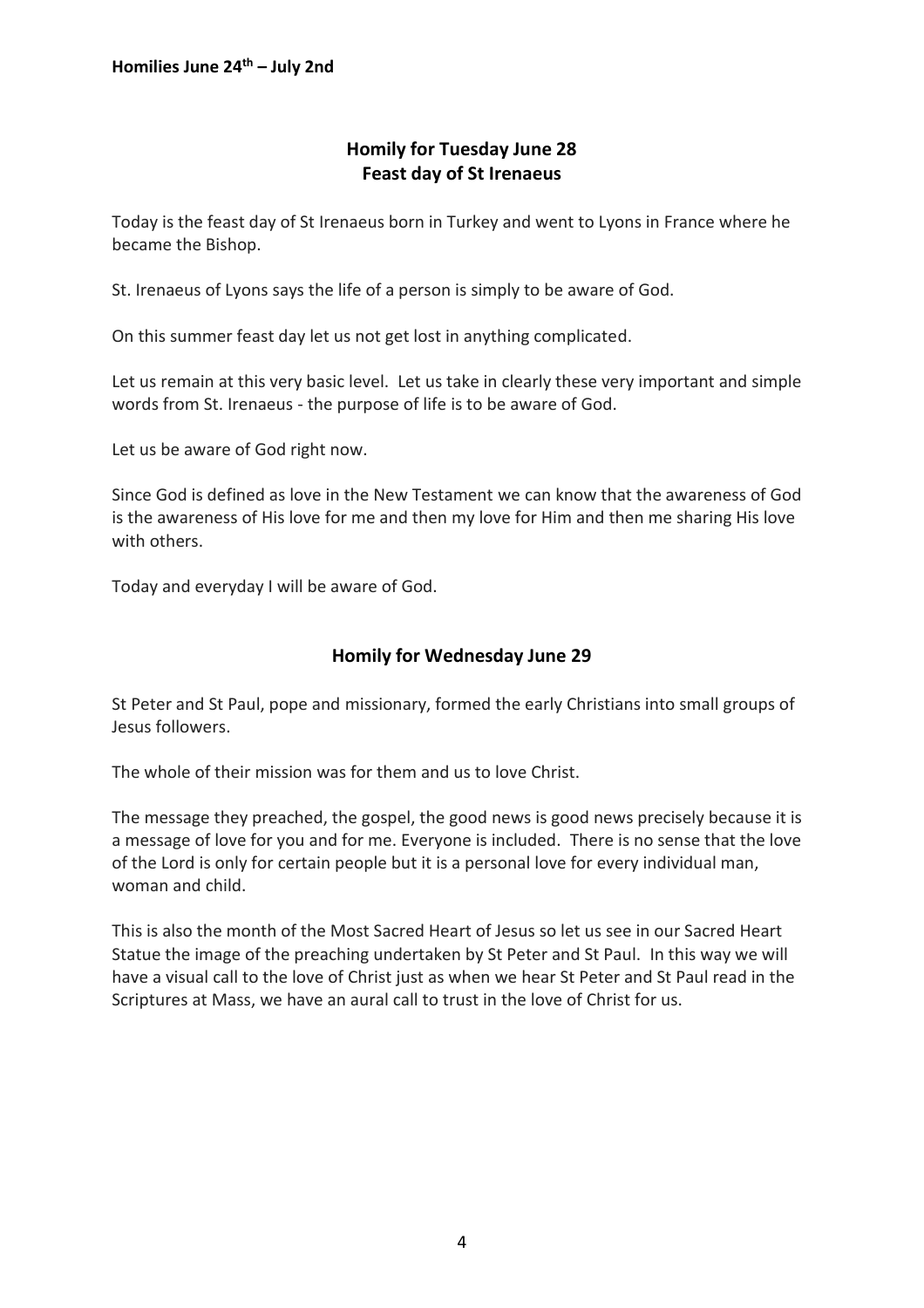## **Homily for Tuesday June 28 Feast day of St Irenaeus**

Today is the feast day of St Irenaeus born in Turkey and went to Lyons in France where he became the Bishop.

St. Irenaeus of Lyons says the life of a person is simply to be aware of God.

On this summer feast day let us not get lost in anything complicated.

Let us remain at this very basic level. Let us take in clearly these very important and simple words from St. Irenaeus - the purpose of life is to be aware of God.

Let us be aware of God right now.

Since God is defined as love in the New Testament we can know that the awareness of God is the awareness of His love for me and then my love for Him and then me sharing His love with others.

Today and everyday I will be aware of God.

### **Homily for Wednesday June 29**

St Peter and St Paul, pope and missionary, formed the early Christians into small groups of Jesus followers.

The whole of their mission was for them and us to love Christ.

The message they preached, the gospel, the good news is good news precisely because it is a message of love for you and for me. Everyone is included. There is no sense that the love of the Lord is only for certain people but it is a personal love for every individual man, woman and child.

This is also the month of the Most Sacred Heart of Jesus so let us see in our Sacred Heart Statue the image of the preaching undertaken by St Peter and St Paul. In this way we will have a visual call to the love of Christ just as when we hear St Peter and St Paul read in the Scriptures at Mass, we have an aural call to trust in the love of Christ for us.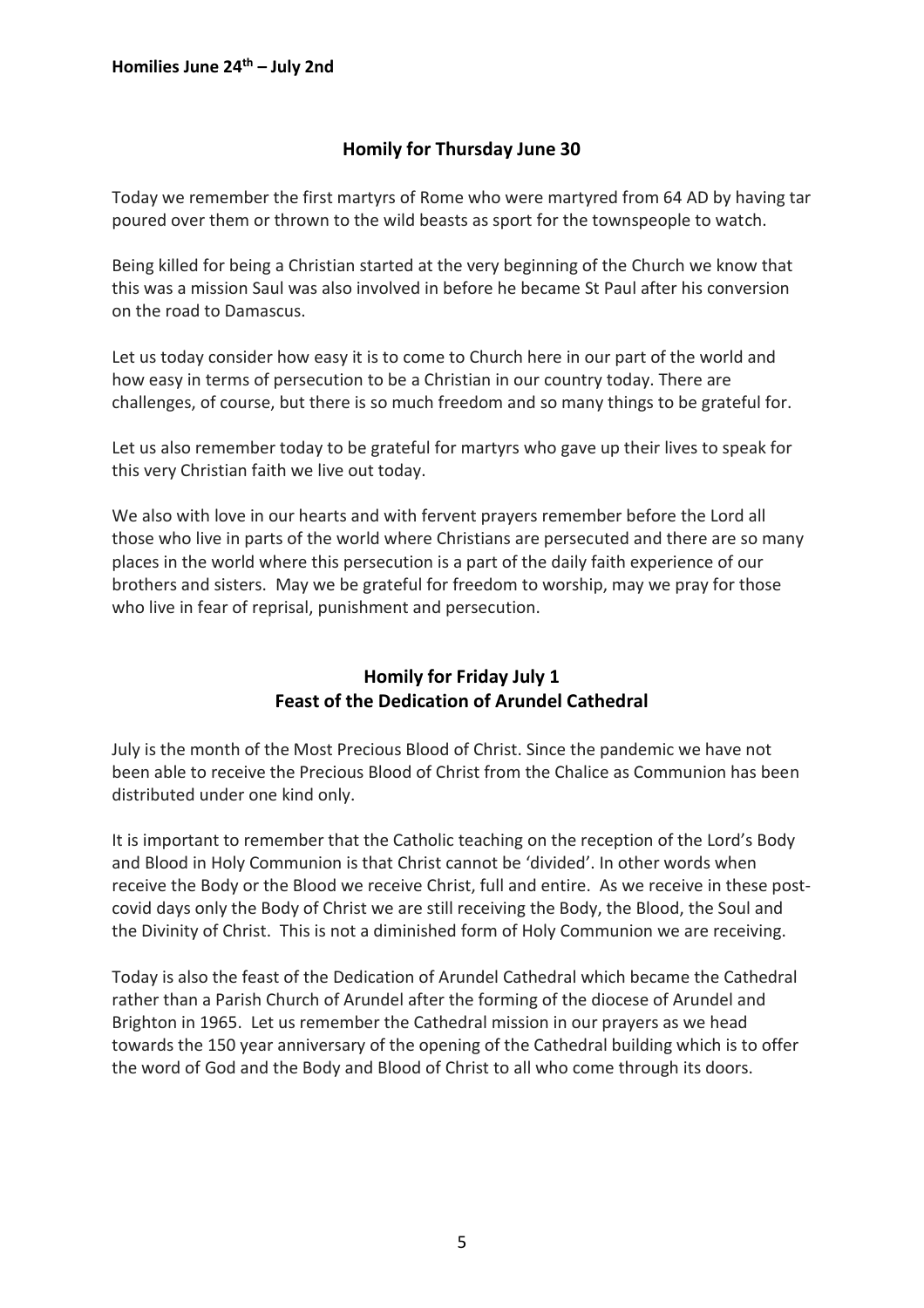### **Homily for Thursday June 30**

Today we remember the first martyrs of Rome who were martyred from 64 AD by having tar poured over them or thrown to the wild beasts as sport for the townspeople to watch.

Being killed for being a Christian started at the very beginning of the Church we know that this was a mission Saul was also involved in before he became St Paul after his conversion on the road to Damascus.

Let us today consider how easy it is to come to Church here in our part of the world and how easy in terms of persecution to be a Christian in our country today. There are challenges, of course, but there is so much freedom and so many things to be grateful for.

Let us also remember today to be grateful for martyrs who gave up their lives to speak for this very Christian faith we live out today.

We also with love in our hearts and with fervent prayers remember before the Lord all those who live in parts of the world where Christians are persecuted and there are so many places in the world where this persecution is a part of the daily faith experience of our brothers and sisters. May we be grateful for freedom to worship, may we pray for those who live in fear of reprisal, punishment and persecution.

# **Homily for Friday July 1 Feast of the Dedication of Arundel Cathedral**

July is the month of the Most Precious Blood of Christ. Since the pandemic we have not been able to receive the Precious Blood of Christ from the Chalice as Communion has been distributed under one kind only.

It is important to remember that the Catholic teaching on the reception of the Lord's Body and Blood in Holy Communion is that Christ cannot be 'divided'. In other words when receive the Body or the Blood we receive Christ, full and entire. As we receive in these postcovid days only the Body of Christ we are still receiving the Body, the Blood, the Soul and the Divinity of Christ. This is not a diminished form of Holy Communion we are receiving.

Today is also the feast of the Dedication of Arundel Cathedral which became the Cathedral rather than a Parish Church of Arundel after the forming of the diocese of Arundel and Brighton in 1965. Let us remember the Cathedral mission in our prayers as we head towards the 150 year anniversary of the opening of the Cathedral building which is to offer the word of God and the Body and Blood of Christ to all who come through its doors.